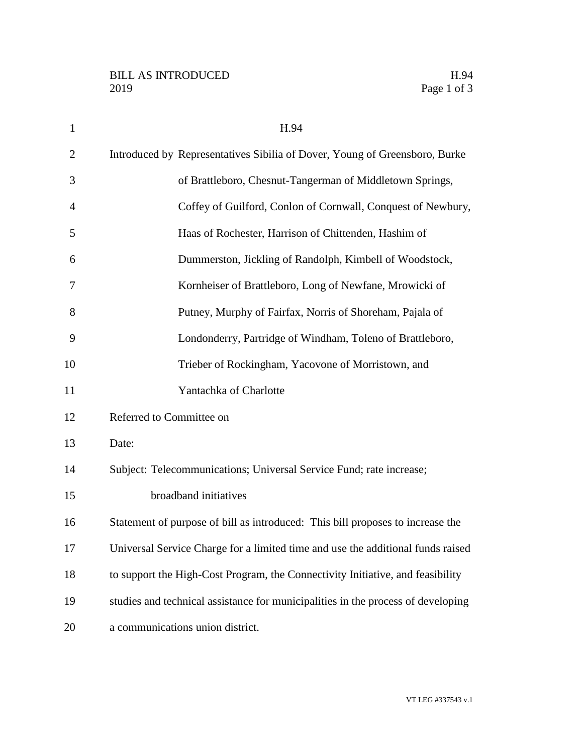| $\mathbf{1}$   | H.94                                                                             |
|----------------|----------------------------------------------------------------------------------|
| $\overline{2}$ | Introduced by Representatives Sibilia of Dover, Young of Greensboro, Burke       |
| 3              | of Brattleboro, Chesnut-Tangerman of Middletown Springs,                         |
| $\overline{4}$ | Coffey of Guilford, Conlon of Cornwall, Conquest of Newbury,                     |
| 5              | Haas of Rochester, Harrison of Chittenden, Hashim of                             |
| 6              | Dummerston, Jickling of Randolph, Kimbell of Woodstock,                          |
| 7              | Kornheiser of Brattleboro, Long of Newfane, Mrowicki of                          |
| 8              | Putney, Murphy of Fairfax, Norris of Shoreham, Pajala of                         |
| 9              | Londonderry, Partridge of Windham, Toleno of Brattleboro,                        |
| 10             | Trieber of Rockingham, Yacovone of Morristown, and                               |
| 11             | Yantachka of Charlotte                                                           |
| 12             | Referred to Committee on                                                         |
| 13             | Date:                                                                            |
| 14             | Subject: Telecommunications; Universal Service Fund; rate increase;              |
| 15             | broadband initiatives                                                            |
| 16             | Statement of purpose of bill as introduced: This bill proposes to increase the   |
| 17             | Universal Service Charge for a limited time and use the additional funds raised  |
| 18             | to support the High-Cost Program, the Connectivity Initiative, and feasibility   |
| 19             | studies and technical assistance for municipalities in the process of developing |
| 20             | a communications union district.                                                 |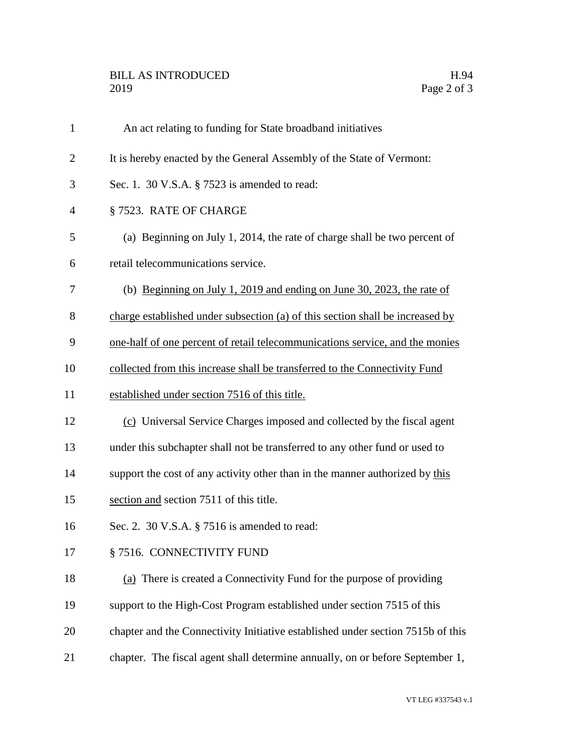## BILL AS INTRODUCED H.94<br>2019 Page 2 of 3

| $\mathbf{1}$   | An act relating to funding for State broadband initiatives                      |
|----------------|---------------------------------------------------------------------------------|
| $\overline{2}$ | It is hereby enacted by the General Assembly of the State of Vermont:           |
| 3              | Sec. 1. 30 V.S.A. § 7523 is amended to read:                                    |
| 4              | §7523. RATE OF CHARGE                                                           |
| 5              | (a) Beginning on July 1, 2014, the rate of charge shall be two percent of       |
| 6              | retail telecommunications service.                                              |
| 7              | (b) Beginning on July 1, 2019 and ending on June 30, 2023, the rate of          |
| 8              | charge established under subsection (a) of this section shall be increased by   |
| 9              | one-half of one percent of retail telecommunications service, and the monies    |
| 10             | collected from this increase shall be transferred to the Connectivity Fund      |
| 11             | established under section 7516 of this title.                                   |
| 12             | (c) Universal Service Charges imposed and collected by the fiscal agent         |
| 13             | under this subchapter shall not be transferred to any other fund or used to     |
| 14             | support the cost of any activity other than in the manner authorized by this    |
| 15             | section and section 7511 of this title.                                         |
| 16             | Sec. 2. 30 V.S.A. § 7516 is amended to read:                                    |
| 17             | § 7516. CONNECTIVITY FUND                                                       |
| 18             | (a) There is created a Connectivity Fund for the purpose of providing           |
| 19             | support to the High-Cost Program established under section 7515 of this         |
| 20             | chapter and the Connectivity Initiative established under section 7515b of this |
| 21             | chapter. The fiscal agent shall determine annually, on or before September 1,   |
|                |                                                                                 |